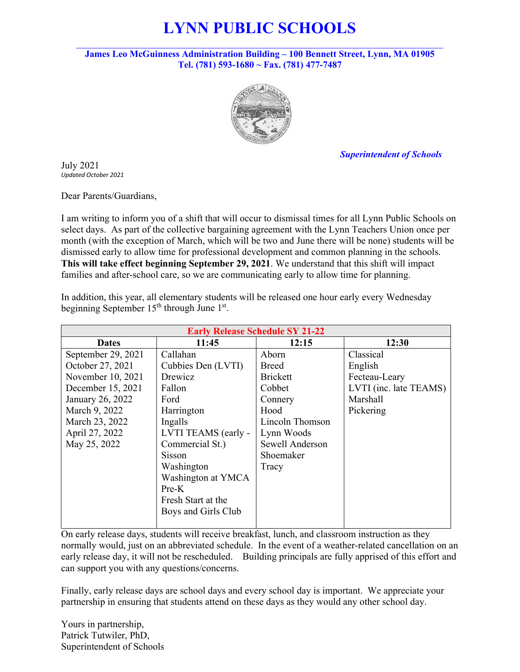# **LYNN PUBLIC SCHOOLS**

**James Leo McGuinness Administration Building – 100 Bennett Street, Lynn, MA 01905 Tel. (781) 593-1680 ~ Fax. (781) 477-7487** 



 *Superintendent of Schools*

July 2021 *Updated October 2021*

Dear Parents/Guardians,

I am writing to inform you of a shift that will occur to dismissal times for all Lynn Public Schools on select days. As part of the collective bargaining agreement with the Lynn Teachers Union once per month (with the exception of March, which will be two and June there will be none) students will be dismissed early to allow time for professional development and common planning in the schools. **This will take effect beginning September 29, 2021**. We understand that this shift will impact families and after-school care, so we are communicating early to allow time for planning.

In addition, this year, all elementary students will be released one hour early every Wednesday beginning September  $15<sup>th</sup>$  through June  $1<sup>st</sup>$ .

|                    | <b>Early Release Schedule SY 21-22</b> |                 |                        |  |  |  |  |  |
|--------------------|----------------------------------------|-----------------|------------------------|--|--|--|--|--|
| <b>Dates</b>       | 11:45                                  | 12:15           | 12:30                  |  |  |  |  |  |
| September 29, 2021 | Callahan                               | Aborn           | Classical              |  |  |  |  |  |
| October 27, 2021   | Cubbies Den (LVTI)                     | <b>Breed</b>    | English                |  |  |  |  |  |
| November 10, 2021  | Drewicz                                | <b>Brickett</b> | Fecteau-Leary          |  |  |  |  |  |
| December 15, 2021  | Fallon                                 | Cobbet          | LVTI (inc. late TEAMS) |  |  |  |  |  |
| January 26, 2022   | Ford                                   | Connery         | <b>Marshall</b>        |  |  |  |  |  |
| March 9, 2022      | Harrington                             | Hood            | Pickering              |  |  |  |  |  |
| March 23, 2022     | Ingalls                                | Lincoln Thomson |                        |  |  |  |  |  |
| April 27, 2022     | LVTI TEAMS (early -                    | Lynn Woods      |                        |  |  |  |  |  |
| May 25, 2022       | Commercial St.)                        | Sewell Anderson |                        |  |  |  |  |  |
|                    | Sisson                                 | Shoemaker       |                        |  |  |  |  |  |
|                    | Washington                             | Tracy           |                        |  |  |  |  |  |
|                    | Washington at YMCA                     |                 |                        |  |  |  |  |  |
|                    | $Pre-K$                                |                 |                        |  |  |  |  |  |
|                    | Fresh Start at the                     |                 |                        |  |  |  |  |  |
|                    | Boys and Girls Club                    |                 |                        |  |  |  |  |  |
|                    |                                        |                 |                        |  |  |  |  |  |

On early release days, students will receive breakfast, lunch, and classroom instruction as they normally would, just on an abbreviated schedule. In the event of a weather-related cancellation on an early release day, it will not be rescheduled. Building principals are fully apprised of this effort and can support you with any questions/concerns.

Finally, early release days are school days and every school day is important. We appreciate your partnership in ensuring that students attend on these days as they would any other school day.

Yours in partnership, Patrick Tutwiler, PhD, Superintendent of Schools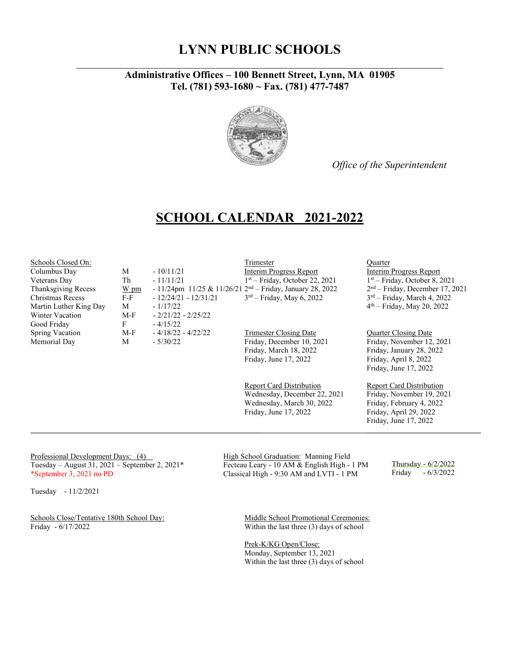#### **LYNN PUBLIC SCHOOLS** *\_\_\_\_\_\_\_\_\_\_\_\_\_\_\_\_\_\_\_\_\_\_\_\_\_\_\_\_\_\_\_\_\_\_\_\_\_\_\_\_\_\_\_\_\_\_\_\_\_\_\_\_\_\_\_\_\_\_\_\_\_\_\_\_\_\_\_\_\_\_\_\_*

#### **Administrative Offices – 100 Bennett Street, Lynn, MA 01905 Tel. (781) 593-1680 ~ Fax. (781) 477-7487**



*Office of the Superintendent*

#### **SCHOOL CALENDAR 2021-2022**

Winter Vacation M-F - 2/21/22 - 2/25/22 Good Friday F - 4/15/22<br>
Spring Vacation M-F - 4/18/22 - 4/22/22 Spring Vacation M-F - 4/18/22 - 4/22/22 Trimester Closing Date Quarter Closing Date

Schools Closed On:<br>
Columbus Day M - 10/11/21 1992 - 10/11/21 1992 - 10/11/21 1992 - 10/11/21 1992 - 10/11/21 111 111 111 111 112 Columbus Day M - 10/11/21 Interim Progress Report Interim Progress Report<br>Veterans Day Th - 11/11/21 I<sup>st</sup> – Friday, October 22, 2021 I<sup>st</sup> – Friday, October 8, 2021 Veterans Day Th - 11/11/21 1<sup>st</sup> – Friday, October 22, 2021 1<sup>st</sup> – Friday, October 8, 2021<br>Thanksgiving Recess <u>W pm</u> - 11/24pm 11/25 & 11/26/21 2<sup>nd</sup> – Friday, January 28, 2022 2<sup>nd</sup> – Friday, December 17, 2021 - 11/24pm 11/25 & 11/26/21 2<sup>nd</sup> – Friday, January 28, 2022 Christmas Recess F-F  $-12/24/21 - 12/31/21$   $3^{rd}$  – Friday, May 6, 2022  $3^{rd}$  – Friday, March 4, 2022 Martin Luther King Day  $M = 1/17/22$   $4<sup>th</sup> – Friday, May 20, 2022$ 

Memorial Day M - 5/30/22 Friday, December 10, 2021 Friday, November 12, 2021 Friday, March 18, 2022<br>Friday, June 17, 2022<br>Friday, April 8, 2022

> Report Card Distribution Report Card Distribution Wednesday, December 22, 2021 Friday, November 19, 2021 Wednesday, March 30, 2022 Friday, February 4, 2022 Friday, June 17, 2022 Friday, April 29, 2022

 $\_$  ,  $\_$  ,  $\_$  ,  $\_$  ,  $\_$  ,  $\_$  ,  $\_$  ,  $\_$  ,  $\_$  ,  $\_$  ,  $\_$  ,  $\_$  ,  $\_$  ,  $\_$  ,  $\_$  ,  $\_$  ,  $\_$  ,  $\_$  ,  $\_$  ,  $\_$  ,  $\_$  ,  $\_$  ,  $\_$  ,  $\_$  ,  $\_$  ,  $\_$  ,  $\_$  ,  $\_$  ,  $\_$  ,  $\_$  ,  $\_$  ,  $\_$  ,  $\_$  ,  $\_$  ,  $\_$  ,  $\_$  ,  $\_$  ,

Professional Development Days: (4) Tuesday – August 31, 2021 – September 2, 2021\* \*September 3, 2021 no PD

Tuesday - 11/2/2021

Schools Close/Tentative 180th School Day:<br>
Friday - 6/17/2022<br>
Within the last three (3) days of school

High School Graduation: Manning Field Fecteau Leary - 10 AM & English High - 1 PM Classical High - 9:30 AM and LVTI - 1 PM

Thursday - 6/2/2022

Friday, April 8, 2022 Friday, June 17, 2022

Friday, June 17, 2022

Friday - 6/3/2022

Within the last three  $(3)$  days of school

Prek-K/KG Open/Close: Monday, September 13, 2021 Within the last three (3) days of school